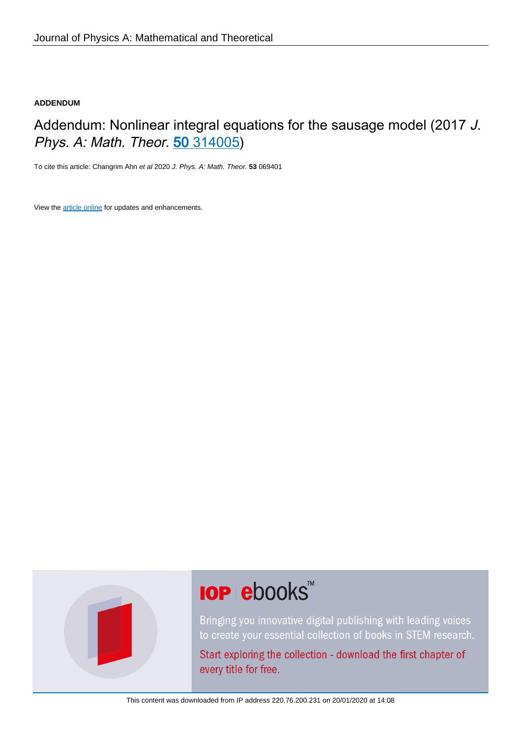# **ADDENDUM**

# Addendum: Nonlinear integral equations for the sausage model (2017 J. Phys. A: Math. Theor. 50 [314005\)](https://doi.org/10.1088/1751-8121/aa7780)

To cite this article: Changrim Ahn et al 2020 J. Phys. A: Math. Theor. **53** 069401

View the [article online](https://doi.org/10.1088/1751-8121/ab5a15) for updates and enhancements.



# **IOP ebooks**™

Bringing you innovative digital publishing with leading voices to create your essential collection of books in STEM research.

Start exploring the collection - download the first chapter of every title for free.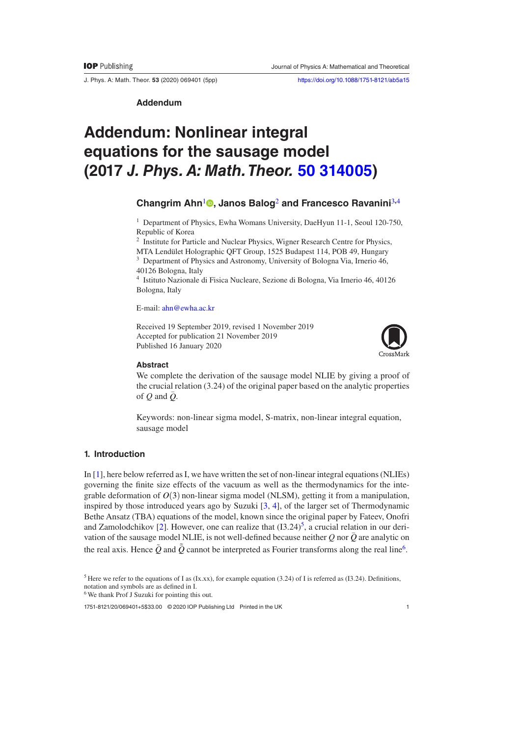J. Phys. A: Math. Theor. **53** (2020) 069401 [\(5](#page-5-4)pp) <https://doi.org/10.1088/1751-8121/ab5a15>

**Addendum**

# **Addendum: Nonlinear integral equations for the sausage model (2017** *J. Phys. A: Math. Theor.* **[50 314005](https://doi.org/10.1088/1751-8121/aa7780))**

# **Changrim Ahn**[1](#page-1-0) **[,](https://orcid.org/0000-0002-5769-8396) Janos Balog**[2](#page-1-1) **and Francesco Ravanini**[3](#page-1-2)**,**[4](#page-1-3)

<span id="page-1-0"></span><sup>1</sup> Department of Physics, Ewha Womans University, DaeHyun 11-1, Seoul 120-750, Republic of Korea

<sup>2</sup> Institute for Particle and Nuclear Physics, Wigner Research Centre for Physics,

<span id="page-1-2"></span><span id="page-1-1"></span>MTA Lendület Holographic QFT Group, 1525 Budapest 114, POB 49, Hungary <sup>3</sup> Department of Physics and Astronomy, University of Bologna Via, Irnerio 46, 40126 Bologna, Italy

<sup>4</sup> Istituto Nazionale di Fisica Nucleare, Sezione di Bologna, Via Irnerio 46, 40126 Bologna, Italy

<span id="page-1-3"></span>E-mail: [ahn@ewha.ac.kr](mailto:ahn@ewha.ac.kr)

Received 19 September 2019, revised 1 November 2019 Accepted for publication 21 November 2019 Published 16 January 2020



#### **Abstract**

We complete the derivation of the sausage model NLIE by giving a proof of the crucial relation (3.24) of the original paper based on the analytic properties of  $Q$  and  $\overline{Q}$ .

Keywords: non-linear sigma model, S-matrix, non-linear integral equation, sausage model

#### **1. Introduction**

In [\[1](#page-5-0)], here below referred as I, we have written the set of non-linear integral equations (NLIEs) governing the finite size effects of the vacuum as well as the thermodynamics for the integrable deformation of  $O(3)$  non-linear sigma model (NLSM), getting it from a manipulation, inspired by those introduced years ago by Suzuki [\[3](#page-5-1), [4](#page-5-2)], of the larger set of Thermodynamic Bethe Ansatz (TBA) equations of the model, known since the original paper by Fateev, Onofri and Zamolodchikov [\[2](#page-5-3)]. However, one can realize that  $(13.24)^5$  $(13.24)^5$ , a crucial relation in our derivation of the sausage model NLIE, is not well-defined because neither  $\hat{Q}$  nor  $\bar{Q}$  are analytic on the real axis. Hence  $\tilde{Q}$  and  $\tilde{\bar{Q}}$  cannot be interpreted as Fourier transforms along the real line<sup>6</sup>.

<span id="page-1-5"></span><sup>6</sup> We thank Prof J Suzuki for pointing this out.

1751-8121/20/069401[+5](#page-5-4)\$33.00 © 2020 IOP Publishing Ltd Printed in the UK

<span id="page-1-4"></span><sup>&</sup>lt;sup>5</sup> Here we refer to the equations of I as (Ix.xx), for example equation (3.24) of I is referred as (I3.24). Definitions, notation and symbols are as defined in I.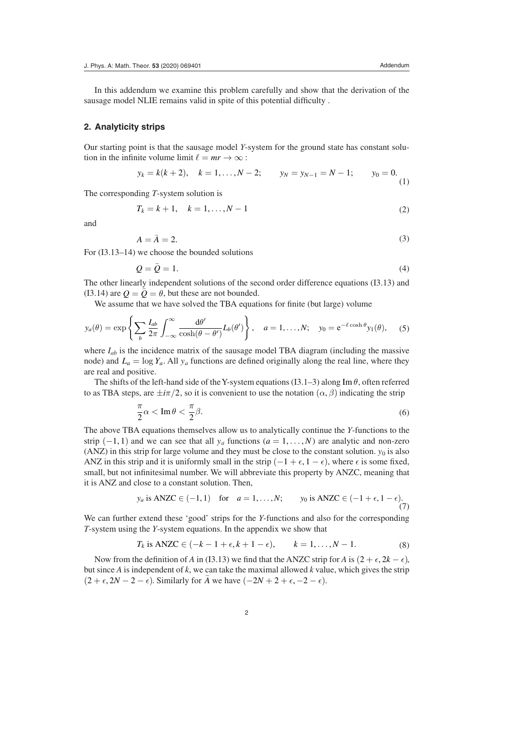In this addendum we examine this problem carefully and show that the derivation of the sausage model NLIE remains valid in spite of this potential difficulty .

#### **2. Analyticity strips**

Our starting point is that the sausage model *Y*-system for the ground state has constant solution in the infinite volume limit  $\ell = mr \rightarrow \infty$ :

$$
y_k = k(k+2),
$$
  $k = 1,..., N-2;$   $y_N = y_{N-1} = N-1;$   $y_0 = 0.$  (1)

The corresponding *T*-system solution is

$$
T_k = k + 1, \quad k = 1, \dots, N - 1
$$
\n(2)

and

$$
A = \bar{A} = 2. \tag{3}
$$

For (I3.13–14) we choose the bounded solutions

$$
Q = \bar{Q} = 1. \tag{4}
$$

The other linearly independent solutions of the second order difference equations (I3.13) and (I3.14) are  $Q = \overline{Q} = \theta$ , but these are not bounded.

We assume that we have solved the TBA equations for finite (but large) volume

$$
y_a(\theta) = \exp\left\{\sum_b \frac{I_{ab}}{2\pi} \int_{-\infty}^{\infty} \frac{d\theta'}{\cosh(\theta - \theta')} L_b(\theta')\right\}, \quad a = 1, \dots, N; \quad y_0 = e^{-\ell \cosh \theta} y_1(\theta), \quad (5)
$$

where  $I_{ab}$  is the incidence matrix of the sausage model TBA diagram (including the massive node) and  $L_a = \log Y_a$ . All  $y_a$  functions are defined originally along the real line, where they are real and positive.

The shifts of the left-hand side of the Y-system equations (I3.1–3) along Im  $\theta$ , often referred to as TBA steps, are  $\pm i\pi/2$ , so it is convenient to use the notation  $(\alpha, \beta)$  indicating the strip

$$
\frac{\pi}{2}\alpha < \operatorname{Im}\theta < \frac{\pi}{2}\beta. \tag{6}
$$

The above TBA equations themselves allow us to analytically continue the *Y*-functions to the strip  $(-1, 1)$  and we can see that all  $y_a$  functions  $(a = 1, \ldots, N)$  are analytic and non-zero (ANZ) in this strip for large volume and they must be close to the constant solution.  $y_0$  is also ANZ in this strip and it is uniformly small in the strip  $(-1 + \epsilon, 1 - \epsilon)$ , where  $\epsilon$  is some fixed, small, but not infinitesimal number. We will abbreviate this property by ANZC, meaning that it is ANZ and close to a constant solution. Then,

$$
y_a
$$
 is ANZC  $\in (-1, 1)$  for  $a = 1, ..., N$ ;  $y_0$  is ANZC  $\in (-1 + \epsilon, 1 - \epsilon)$ . (7)

We can further extend these 'good' strips for the *Y*-functions and also for the corresponding *T*-system using the *Y*-system equations. In the appendix we show that

$$
T_k \text{ is ANZC} \in (-k-1+\epsilon, k+1-\epsilon), \qquad k=1,\ldots,N-1. \tag{8}
$$

Now from the definition of *A* in (I3.13) we find that the ANZC strip for *A* is  $(2 + \epsilon, 2k - \epsilon)$ , but since *A* is independent of *k*, we can take the maximal allowed *k* value, which gives the strip  $(2 + \epsilon, 2N - 2 - \epsilon)$ . Similarly for  $\overline{A}$  we have  $(-2N + 2 + \epsilon, -2 - \epsilon)$ .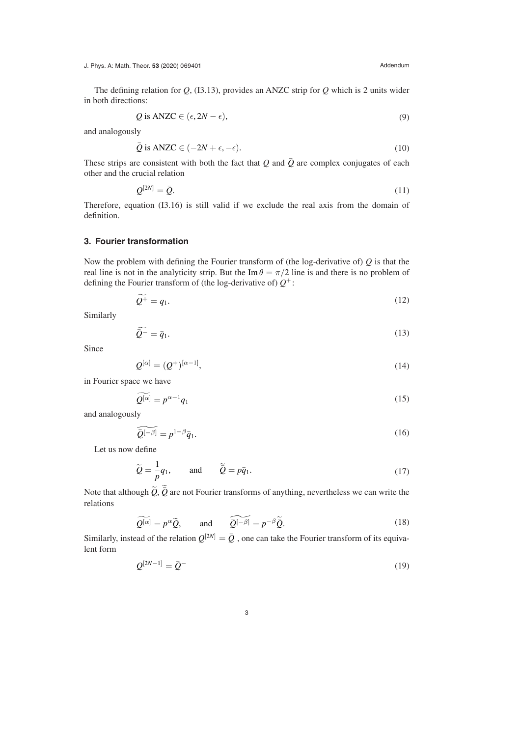The defining relation for *Q*, (I3.13), provides an ANZC strip for *Q* which is 2 units wider in both directions:

$$
Q \text{ is ANZC} \in (\epsilon, 2N - \epsilon),\tag{9}
$$

and analogously

$$
\bar{Q} \text{ is ANZC} \in (-2N + \epsilon, -\epsilon). \tag{10}
$$

These strips are consistent with both the fact that  $Q$  and  $\overline{Q}$  are complex conjugates of each other and the crucial relation

$$
\mathcal{Q}^{[2N]} = \bar{\mathcal{Q}}.\tag{11}
$$

Therefore, equation (I3.16) is still valid if we exclude the real axis from the domain of definition.

### **3. Fourier transformation**

Now the problem with defining the Fourier transform of (the log-derivative of) *Q* is that the real line is not in the analyticity strip. But the Im  $\theta = \pi/2$  line is and there is no problem of defining the Fourier transform of (the log-derivative of)  $Q^+$ :

$$
Q^+ = q_1. \tag{12}
$$

Similarly

$$
\widetilde{\widetilde{Q}^{-}} = \overline{q}_1. \tag{13}
$$

Since

$$
Q^{[\alpha]} = (Q^+)^{[\alpha - 1]},\tag{14}
$$

in Fourier space we have

$$
Q^{[\alpha]} = p^{\alpha - 1} q_1 \tag{15}
$$

and analogously

$$
\widetilde{Q}^{[-\beta]} = p^{1-\beta} \bar{q}_1. \tag{16}
$$

Let us now define

$$
\widetilde{Q} = -\frac{1}{p}q_1, \quad \text{and} \quad \widetilde{\bar{Q}} = p\bar{q}_1. \tag{17}
$$

Note that although  $\tilde{Q}$ ,  $\tilde{Q}$  are not Fourier transforms of anything, nevertheless we can write the relations

$$
\widetilde{Q^{[\alpha]}} = p^{\alpha} \widetilde{Q}, \quad \text{and} \quad \widetilde{Q^{[-\beta]}} = p^{-\beta} \widetilde{Q}.
$$
 (18)

Similarly, instead of the relation  $Q^{[2N]} = \overline{Q}$ , one can take the Fourier transform of its equivalent form

$$
Q^{[2N-1]} = \bar{Q}^{-}
$$
 (19)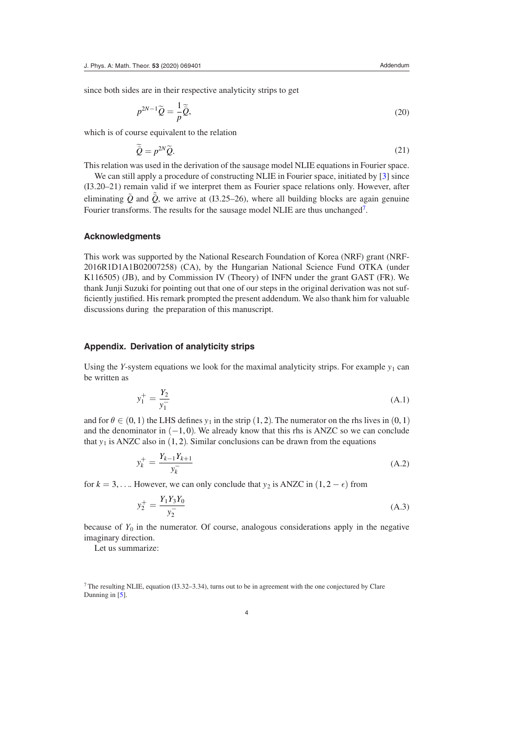since both sides are in their respective analyticity strips to get

$$
p^{2N-1}\widetilde{Q} = -\frac{1}{p}\widetilde{\widetilde{Q}},\tag{20}
$$

which is of course equivalent to the relation

$$
\widetilde{\tilde{Q}} = p^{2N} \widetilde{Q}.
$$
\n(21)

This relation was used in the derivation of the sausage model NLIE equations in Fourier space.

We can still apply a procedure of constructing NLIE in Fourier space, initiated by [[3\]](#page-5-1) since (I3.20–21) remain valid if we interpret them as Fourier space relations only. However, after eliminating  $\tilde{Q}$  and  $\tilde{\bar{Q}}$ , we arrive at (I3.25–26), where all building blocks are again genuine Fourier transforms. The results for the sausage model NLIE are thus unchanged<sup>7</sup>.

#### **Acknowledgments**

This work was supported by the National Research Foundation of Korea (NRF) grant (NRF-2016R1D1A1B02007258) (CA), by the Hungarian National Science Fund OTKA (under K116505) (JB), and by Commission IV (Theory) of INFN under the grant GAST (FR). We thank Junji Suzuki for pointing out that one of our steps in the original derivation was not sufficiently justified. His remark prompted the present addendum. We also thank him for valuable discussions during the preparation of this manuscript.

#### **Appendix. Derivation of analyticity strips**

Using the *Y*-system equations we look for the maximal analyticity strips. For example  $y_1$  can be written as

$$
y_1^+ = \frac{Y_2}{y_1^-}
$$
 (A.1)

and for  $\theta \in (0, 1)$  the LHS defines  $y_1$  in the strip (1, 2). The numerator on the rhs lives in (0, 1) and the denominator in  $(-1, 0)$ . We already know that this rhs is ANZC so we can conclude that  $y_1$  is ANZC also in  $(1, 2)$ . Similar conclusions can be drawn from the equations

$$
y_k^+ = \frac{Y_{k-1}Y_{k+1}}{y_k^-}
$$
 (A.2)

for  $k = 3, \ldots$  However, we can only conclude that  $y_2$  is ANZC in  $(1, 2 - \epsilon)$  from

$$
y_2^+ = \frac{Y_1 Y_3 Y_0}{y_2^-} \tag{A.3}
$$

because of  $Y_0$  in the numerator. Of course, analogous considerations apply in the negative imaginary direction.

Let us summarize:

<span id="page-4-0"></span>7 The resulting NLIE, equation (I3.32–3.34), turns out to be in agreement with the one conjectured by Clare Dunning in [[5\]](#page-5-5).